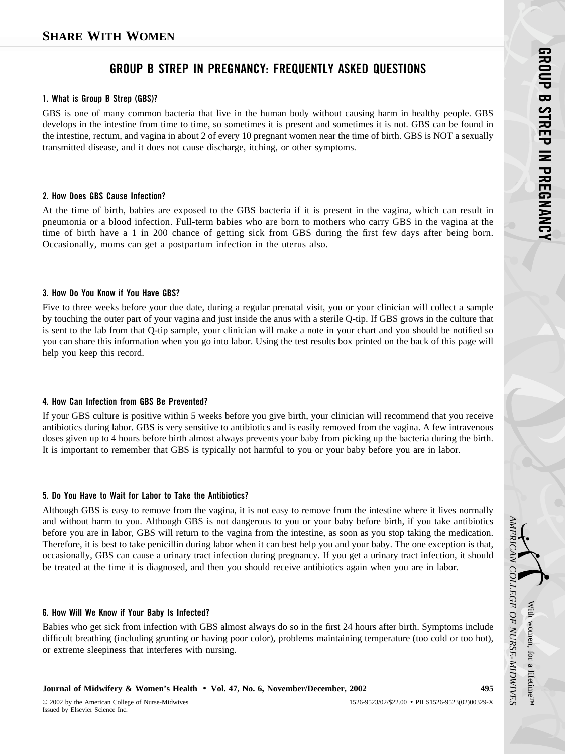# **GROUP B STREP IN PREGNANCY: FREQUENTLY ASKED QUESTIONS**

#### **1. What is Group B Strep (GBS)?**

GBS is one of many common bacteria that live in the human body without causing harm in healthy people. GBS develops in the intestine from time to time, so sometimes it is present and sometimes it is not. GBS can be found in the intestine, rectum, and vagina in about 2 of every 10 pregnant women near the time of birth. GBS is NOT a sexually transmitted disease, and it does not cause discharge, itching, or other symptoms.

### **2. How Does GBS Cause Infection?**

At the time of birth, babies are exposed to the GBS bacteria if it is present in the vagina, which can result in pneumonia or a blood infection. Full-term babies who are born to mothers who carry GBS in the vagina at the time of birth have a 1 in 200 chance of getting sick from GBS during the first few days after being born. Occasionally, moms can get a postpartum infection in the uterus also.

### **3. How Do You Know if You Have GBS?**

Five to three weeks before your due date, during a regular prenatal visit, you or your clinician will collect a sample by touching the outer part of your vagina and just inside the anus with a sterile Q-tip. If GBS grows in the culture that is sent to the lab from that Q-tip sample, your clinician will make a note in your chart and you should be notified so you can share this information when you go into labor. Using the test results box printed on the back of this page will help you keep this record.

## **4. How Can Infection from GBS Be Prevented?**

If your GBS culture is positive within 5 weeks before you give birth, your clinician will recommend that you receive antibiotics during labor. GBS is very sensitive to antibiotics and is easily removed from the vagina. A few intravenous doses given up to 4 hours before birth almost always prevents your baby from picking up the bacteria during the birth. It is important to remember that GBS is typically not harmful to you or your baby before you are in labor.

## **5. Do You Have to Wait for Labor to Take the Antibiotics?**

Although GBS is easy to remove from the vagina, it is not easy to remove from the intestine where it lives normally and without harm to you. Although GBS is not dangerous to you or your baby before birth, if you take antibiotics before you are in labor, GBS will return to the vagina from the intestine, as soon as you stop taking the medication. Therefore, it is best to take penicillin during labor when it can best help you and your baby. The one exception is that, occasionally, GBS can cause a urinary tract infection during pregnancy. If you get a urinary tract infection, it should be treated at the time it is diagnosed, and then you should receive antibiotics again when you are in labor.

#### **6. How Will We Know if Your Baby Is Infected?**

Babies who get sick from infection with GBS almost always do so in the first 24 hours after birth. Symptoms include difficult breathing (including grunting or having poor color), problems maintaining temperature (too cold or too hot), or extreme sleepiness that interferes with nursing.

## **Journal of Midwifery & Women's Health** • **Vol. 47, No. 6, November/December, 2002 495**

With

*AMERICAN*

MERICAN

*COLLEGE*

 *OF*

 *NURSE-MIDWIVES*

women,

for a

lifetime™